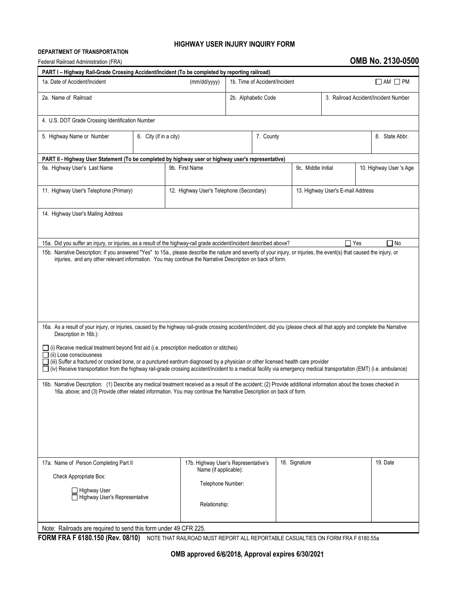## **HIGHWAY USER INJURY INQUIRY FORM**

## **DEPARTMENT OF TRANSPORTATION**

## Federal Railroad Administration (FRA) **OMB No. 2130-0500**

| PART I - Highway Rail-Grade Crossing Accident/Incident (To be completed by reporting railroad)                                                                                                                                                                                                                                                                                                                                                                                                                                                                                                                                                                                                                                                                                                                                                                                                                                                                                                                                                                                                               |                        |                                          |                               |  |                                   |                                      |                         |  |  |
|--------------------------------------------------------------------------------------------------------------------------------------------------------------------------------------------------------------------------------------------------------------------------------------------------------------------------------------------------------------------------------------------------------------------------------------------------------------------------------------------------------------------------------------------------------------------------------------------------------------------------------------------------------------------------------------------------------------------------------------------------------------------------------------------------------------------------------------------------------------------------------------------------------------------------------------------------------------------------------------------------------------------------------------------------------------------------------------------------------------|------------------------|------------------------------------------|-------------------------------|--|-----------------------------------|--------------------------------------|-------------------------|--|--|
| 1a. Date of Accident/Incident<br>(mm/dd/yyyy)                                                                                                                                                                                                                                                                                                                                                                                                                                                                                                                                                                                                                                                                                                                                                                                                                                                                                                                                                                                                                                                                |                        |                                          | 1b. Time of Accident/Incident |  |                                   |                                      | $\Box$ AM $\Box$ PM     |  |  |
| 2a. Name of Railroad                                                                                                                                                                                                                                                                                                                                                                                                                                                                                                                                                                                                                                                                                                                                                                                                                                                                                                                                                                                                                                                                                         |                        |                                          | 2b. Alphabetic Code           |  |                                   | 3. Railroad Accident/Incident Number |                         |  |  |
| 4. U.S. DOT Grade Crossing Identification Number                                                                                                                                                                                                                                                                                                                                                                                                                                                                                                                                                                                                                                                                                                                                                                                                                                                                                                                                                                                                                                                             |                        |                                          |                               |  |                                   |                                      |                         |  |  |
| 5. Highway Name or Number                                                                                                                                                                                                                                                                                                                                                                                                                                                                                                                                                                                                                                                                                                                                                                                                                                                                                                                                                                                                                                                                                    | 6. City (if in a city) |                                          | 7. County                     |  |                                   | 8. State Abbr.                       |                         |  |  |
| PART II - Highway User Statement (To be completed by highway user or highway user's representative)                                                                                                                                                                                                                                                                                                                                                                                                                                                                                                                                                                                                                                                                                                                                                                                                                                                                                                                                                                                                          |                        |                                          |                               |  |                                   |                                      |                         |  |  |
| 9a. Highway User's Last Name                                                                                                                                                                                                                                                                                                                                                                                                                                                                                                                                                                                                                                                                                                                                                                                                                                                                                                                                                                                                                                                                                 |                        | 9b. First Name                           |                               |  | 9c. Middle Initial                |                                      | 10. Highway User 's Age |  |  |
| 11. Highway User's Telephone (Primary)                                                                                                                                                                                                                                                                                                                                                                                                                                                                                                                                                                                                                                                                                                                                                                                                                                                                                                                                                                                                                                                                       |                        | 12. Highway User's Telephone (Secondary) |                               |  | 13. Highway User's E-mail Address |                                      |                         |  |  |
| 14. Highway User's Mailing Address                                                                                                                                                                                                                                                                                                                                                                                                                                                                                                                                                                                                                                                                                                                                                                                                                                                                                                                                                                                                                                                                           |                        |                                          |                               |  |                                   |                                      |                         |  |  |
| $\Box$ Yes<br>15a. Did you suffer an injury, or injuries, as a result of the highway-rail grade accident/incident described above?<br>$\Box$ No                                                                                                                                                                                                                                                                                                                                                                                                                                                                                                                                                                                                                                                                                                                                                                                                                                                                                                                                                              |                        |                                          |                               |  |                                   |                                      |                         |  |  |
| 15b. Narrative Description: If you answered "Yes" to 15a., please describe the nature and severity of your injury, or injuries, the event(s) that caused the injury, or<br>injuries, and any other relevant information. You may continue the Narrative Description on back of form.<br>16a. As a result of your injury, or injuries, caused by the highway rail-grade crossing accident/incident, did you (please check all that apply and complete the Narrative<br>Description in 16b.):<br>(i) Receive medical treatment beyond first aid (i.e. prescription medication or stitches)<br>$\Box$ (ii) Lose consciousness<br>(iii) Suffer a fractured or cracked bone, or a punctured eardrum diagnosed by a physician or other licensed health care provider<br>(iv) Receive transportation from the highway rail-grade crossing accident/incident to a medical facility via emergency medical transportation (EMT) (i.e. ambulance)<br>16b. Narrative Description: (1) Describe any medical treatment received as a result of the accident; (2) Provide additional information about the boxes checked in |                        |                                          |                               |  |                                   |                                      |                         |  |  |
| 16a. above; and (3) Provide other related information. You may continue the Narrative Description on back of form.<br>17b. Highway User's Representative's<br>18. Signature<br>19. Date<br>17a. Name of Person Completing Part II<br>Name (if applicable):<br>Check Appropriate Box:                                                                                                                                                                                                                                                                                                                                                                                                                                                                                                                                                                                                                                                                                                                                                                                                                         |                        |                                          |                               |  |                                   |                                      |                         |  |  |
| $\Box$ Highway User<br>Highway User's Representative                                                                                                                                                                                                                                                                                                                                                                                                                                                                                                                                                                                                                                                                                                                                                                                                                                                                                                                                                                                                                                                         |                        | Telephone Number:<br>Relationship:       |                               |  |                                   |                                      |                         |  |  |
| Note: Railroads are required to send this form under 49 CFR 225.                                                                                                                                                                                                                                                                                                                                                                                                                                                                                                                                                                                                                                                                                                                                                                                                                                                                                                                                                                                                                                             |                        |                                          |                               |  |                                   |                                      |                         |  |  |

**FORM FRA F 6180.150 (Rev. 08/10)** NOTE THAT RAILROAD MUST REPORT ALL REPORTABLE CASUALTIES ON FORM FRA F 6180.55a